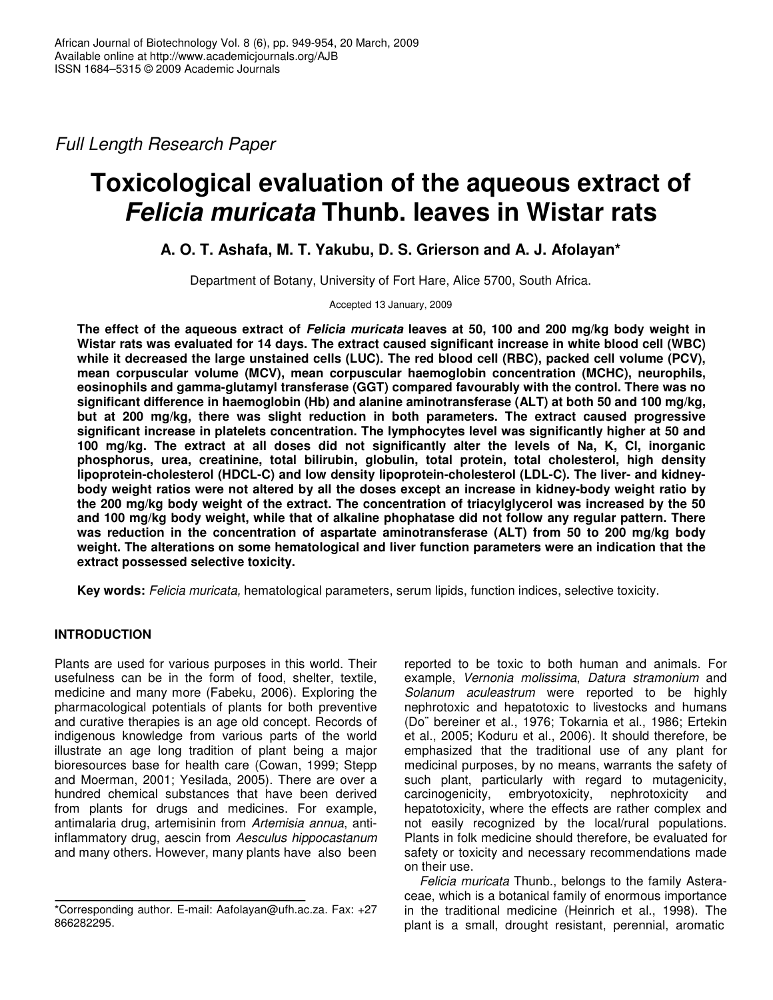*Full Length Research Paper*

# **Toxicological evaluation of the aqueous extract of** *Felicia muricata* **Thunb. leaves in Wistar rats**

# **A. O. T. Ashafa, M. T. Yakubu, D. S. Grierson and A. J. Afolayan\***

Department of Botany, University of Fort Hare, Alice 5700, South Africa.

Accepted 13 January, 2009

The effect of the aqueous extract of Felicia muricata leaves at 50, 100 and 200 mg/kg body weight in **Wistar rats was evaluated for 14 days. The extract caused significant increase in white blood cell (WBC) while it decreased the large unstained cells (LUC). The red blood cell (RBC), packed cell volume (PCV), mean corpuscular volume (MCV), mean corpuscular haemoglobin concentration (MCHC), neurophils, eosinophils and gamma-glutamyl transferase (GGT) compared favourably with the control. There was no significant difference in haemoglobin (Hb) and alanine aminotransferase (ALT) at both 50 and 100 mg/kg, but at 200 mg/kg, there was slight reduction in both parameters. The extract caused progressive significant increase in platelets concentration. The lymphocytes level was significantly higher at 50 and 100 mg/kg. The extract at all doses did not significantly alter the levels of Na, K, Cl, inorganic phosphorus, urea, creatinine, total bilirubin, globulin, total protein, total cholesterol, high density lipoprotein-cholesterol (HDCL-C) and low density lipoprotein-cholesterol (LDL-C). The liver- and kidney**body weight ratios were not altered by all the doses except an increase in kidney-body weight ratio by **the 200 mg/kg body weight of the extract. The concentration of triacylglycerol was increased by the 50 and 100 mg/kg body weight, while that of alkaline phophatase did not follow any regular pattern. There was reduction in the concentration of aspartate aminotransferase (ALT) from 50 to 200 mg/kg body weight. The alterations on some hematological and liver function parameters were an indication that the extract possessed selective toxicity.**

**Key words:** *Felicia muricata,* hematological parameters, serum lipids, function indices, selective toxicity.

# **INTRODUCTION**

Plants are used for various purposes in this world. Their usefulness can be in the form of food, shelter, textile, medicine and many more (Fabeku, 2006). Exploring the pharmacological potentials of plants for both preventive and curative therapies is an age old concept. Records of indigenous knowledge from various parts of the world illustrate an age long tradition of plant being a major bioresources base for health care (Cowan, 1999; Stepp and Moerman, 2001; Yesilada, 2005). There are over a hundred chemical substances that have been derived from plants for drugs and medicines. For example, antimalaria drug, artemisinin from *Artemisia annua*, antiinflammatory drug, aescin from *Aesculus hippocastanum* and many others. However, many plants have also been

reported to be toxic to both human and animals. For example, *Vernonia molissima*, *Datura stramonium* and *Solanum aculeastrum* were reported to be highly nephrotoxic and hepatotoxic to livestocks and humans (Do¨ bereiner et al., 1976; Tokarnia et al., 1986; Ertekin et al., 2005; Koduru et al., 2006). It should therefore, be emphasized that the traditional use of any plant for medicinal purposes, by no means, warrants the safety of such plant, particularly with regard to mutagenicity, carcinogenicity, embryotoxicity, nephrotoxicity and hepatotoxicity, where the effects are rather complex and not easily recognized by the local/rural populations. Plants in folk medicine should therefore, be evaluated for safety or toxicity and necessary recommendations made on their use.

*Felicia muricata* Thunb., belongs to the family Asteraceae, which is a botanical family of enormous importance in the traditional medicine (Heinrich et al., 1998). The plant is a small, drought resistant, perennial, aromatic

<sup>\*</sup>Corresponding author. E-mail: Aafolayan@ufh.ac.za. Fax: +27 866282295.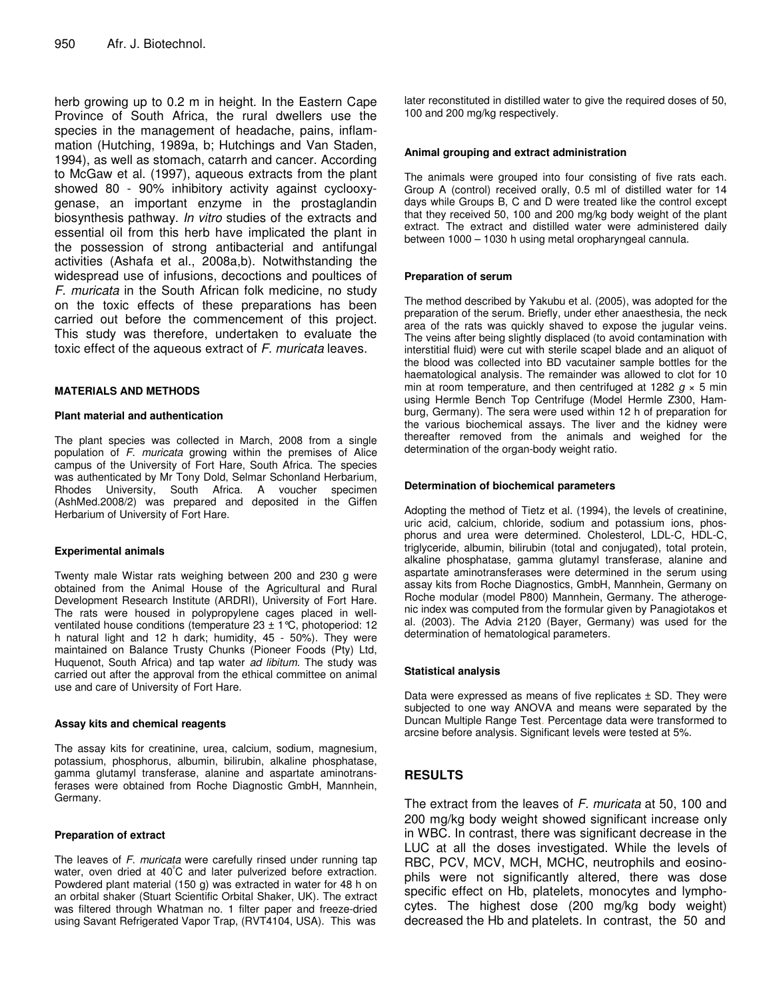herb growing up to 0.2 m in height. In the Eastern Cape Province of South Africa, the rural dwellers use the species in the management of headache, pains, inflammation (Hutching, 1989a, b; Hutchings and Van Staden, 1994), as well as stomach, catarrh and cancer. According to McGaw et al. (1997), aqueous extracts from the plant showed 80 - 90% inhibitory activity against cyclooxygenase, an important enzyme in the prostaglandin biosynthesis pathway. *In vitro* studies of the extracts and essential oil from this herb have implicated the plant in the possession of strong antibacterial and antifungal activities (Ashafa et al., 2008a,b). Notwithstanding the widespread use of infusions, decoctions and poultices of *F. muricata* in the South African folk medicine, no study on the toxic effects of these preparations has been carried out before the commencement of this project. This study was therefore, undertaken to evaluate the toxic effect of the aqueous extract of *F. muricata* leaves.

## **MATERIALS AND METHODS**

#### **Plant material and authentication**

The plant species was collected in March, 2008 from a single population of *F. muricata* growing within the premises of Alice campus of the University of Fort Hare, South Africa. The species was authenticated by Mr Tony Dold, Selmar Schonland Herbarium, Rhodes University, South Africa. A voucher specimen (AshMed.2008/2) was prepared and deposited in the Giffen Herbarium of University of Fort Hare.

#### **Experimental animals**

Twenty male Wistar rats weighing between 200 and 230 g were obtained from the Animal House of the Agricultural and Rural Development Research Institute (ARDRI), University of Fort Hare. The rats were housed in polypropylene cages placed in wellventilated house conditions (temperature  $23 \pm 1$  °C, photoperiod: 12 h natural light and 12 h dark; humidity, 45 - 50%). They were maintained on Balance Trusty Chunks (Pioneer Foods (Pty) Ltd, Huquenot, South Africa) and tap water *ad libitum.* The study was carried out after the approval from the ethical committee on animal use and care of University of Fort Hare.

#### **Assay kits and chemical reagents**

The assay kits for creatinine, urea, calcium, sodium, magnesium, potassium, phosphorus, albumin, bilirubin, alkaline phosphatase, gamma glutamyl transferase, alanine and aspartate aminotransferases were obtained from Roche Diagnostic GmbH, Mannhein, Germany.

#### **Preparation of extract**

The leaves of *F. muricata* were carefully rinsed under running tap water, oven dried at 40°C and later pulverized before extraction. Powdered plant material (150 g) was extracted in water for 48 h on an orbital shaker (Stuart Scientific Orbital Shaker, UK). The extract was filtered through Whatman no. 1 filter paper and freeze-dried using Savant Refrigerated Vapor Trap, (RVT4104, USA). This was

later reconstituted in distilled water to give the required doses of 50, 100 and 200 mg/kg respectively.

#### **Animal grouping and extract administration**

The animals were grouped into four consisting of five rats each. Group A (control) received orally, 0.5 ml of distilled water for 14 days while Groups B, C and D were treated like the control except that they received 50, 100 and 200 mg/kg body weight of the plant extract. The extract and distilled water were administered daily between 1000 – 1030 h using metal oropharyngeal cannula.

#### **Preparation of serum**

The method described by Yakubu et al. (2005), was adopted for the preparation of the serum. Briefly, under ether anaesthesia, the neck area of the rats was quickly shaved to expose the jugular veins. The veins after being slightly displaced (to avoid contamination with interstitial fluid) were cut with sterile scapel blade and an aliquot of the blood was collected into BD vacutainer sample bottles for the haematological analysis. The remainder was allowed to clot for 10 min at room temperature, and then centrifuged at 1282  $g \times 5$  min using Hermle Bench Top Centrifuge (Model Hermle Z300, Hamburg, Germany). The sera were used within 12 h of preparation for the various biochemical assays. The liver and the kidney were thereafter removed from the animals and weighed for the determination of the organ-body weight ratio.

#### **Determination of biochemical parameters**

Adopting the method of Tietz et al. (1994), the levels of creatinine, uric acid, calcium, chloride, sodium and potassium ions, phosphorus and urea were determined. Cholesterol, LDL-C, HDL-C, triglyceride, albumin, bilirubin (total and conjugated), total protein, alkaline phosphatase, gamma glutamyl transferase, alanine and aspartate aminotransferases were determined in the serum using assay kits from Roche Diagnostics, GmbH, Mannhein, Germany on Roche modular (model P800) Mannhein, Germany. The atherogenic index was computed from the formular given by Panagiotakos et al. (2003). The Advia 2120 (Bayer, Germany) was used for the determination of hematological parameters.

#### **Statistical analysis**

Data were expressed as means of five replicates  $\pm$  SD. They were subjected to one way ANOVA and means were separated by the Duncan Multiple Range Test. Percentage data were transformed to arcsine before analysis. Significant levels were tested at 5%.

# **RESULTS**

The extract from the leaves of *F. muricata* at 50, 100 and 200 mg/kg body weight showed significant increase only in WBC. In contrast, there was significant decrease in the LUC at all the doses investigated. While the levels of RBC, PCV, MCV, MCH, MCHC, neutrophils and eosinophils were not significantly altered, there was dose specific effect on Hb, platelets, monocytes and lymphocytes. The highest dose (200 mg/kg body weight) decreased the Hb and platelets. In contrast, the 50 and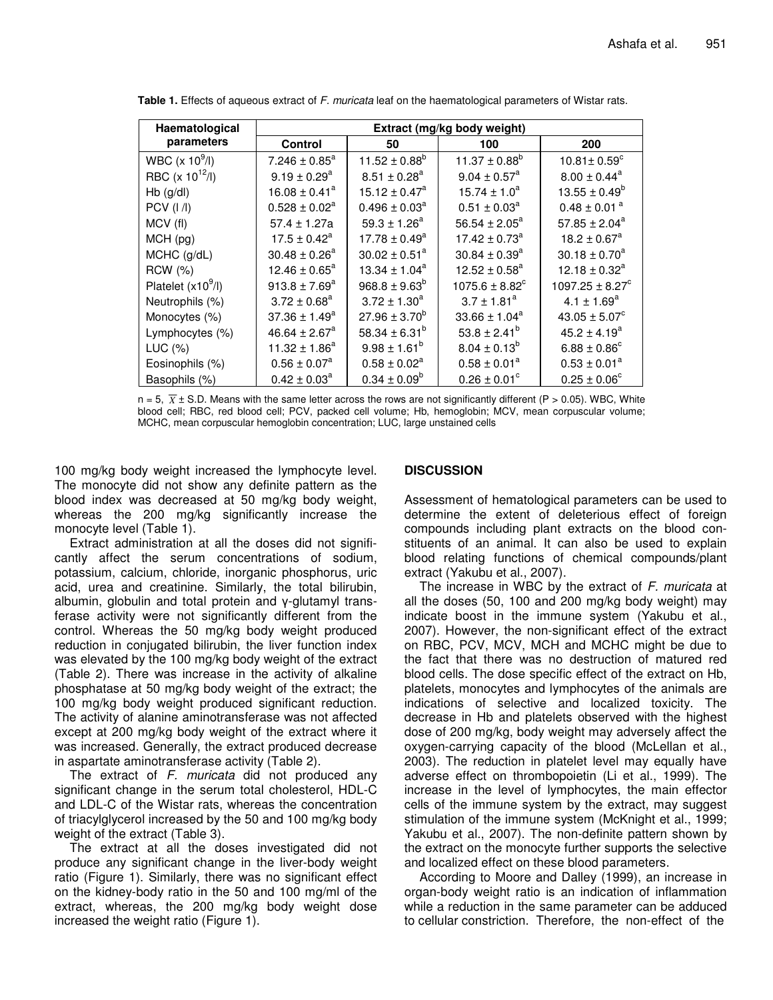| Haematological      | Extract (mg/kg body weight)   |                    |                                |                                 |  |
|---------------------|-------------------------------|--------------------|--------------------------------|---------------------------------|--|
| parameters          | Control                       | 50                 | 100                            | 200                             |  |
| WBC (x $10^9$ /l)   | $7.246 \pm 0.85^a$            | 11.52 ± $0.88^b$   | $11.37 \pm 0.88^b$             | $10.81 \pm 0.59^{\circ}$        |  |
| RBC $(x 10^{12}/I)$ | $9.19 \pm 0.29^a$             | $8.51 \pm 0.28^a$  | $9.04 \pm 0.57^{\text{a}}$     | $8.00 \pm 0.44^a$               |  |
| $Hb$ (g/dl)         | $16.08 \pm 0.41^a$            | $15.12 \pm 0.47^a$ | $15.74 \pm 1.0^a$              | $13.55 \pm 0.49^b$              |  |
| <b>PCV</b> (I /I)   | $0.528 \pm 0.02^a$            | $0.496 \pm 0.03^a$ | $0.51 \pm 0.03^a$              | $0.48 \pm 0.01$ <sup>a</sup>    |  |
| MCV (fl)            | $57.4 \pm 1.27a$              | $59.3 \pm 1.26^a$  | 56.54 $\pm$ 2.05 <sup>a</sup>  | $57.85 \pm 2.04^a$              |  |
| $MCH$ (pg)          | $17.5 \pm 0.42^a$             | $17.78 \pm 0.49^a$ | $17.42 \pm 0.73^a$             | $18.2 \pm 0.67$ <sup>a</sup>    |  |
| MCHC (g/dL)         | $30.48 \pm 0.26^a$            | $30.02 \pm 0.51^a$ | $30.84 \pm 0.39^a$             | $30.18 \pm 0.70^a$              |  |
| <b>RCW</b> (%)      | $12.46 \pm 0.65^a$            | $13.34 \pm 1.04^a$ | $12.52 \pm 0.58^a$             | $12.18 \pm 0.32^a$              |  |
| Platelet $(x109/I)$ | $913.8 \pm 7.69^a$            | $968.8 \pm 9.63^b$ | $1075.6 \pm 8.82$ <sup>c</sup> | $1097.25 \pm 8.27$ <sup>c</sup> |  |
| Neutrophils (%)     | $3.72 \pm 0.68^a$             | $3.72 \pm 1.30^a$  | $3.7 \pm 1.81^a$               | $4.1 \pm 1.69^a$                |  |
| Monocytes (%)       | $37.36 \pm 1.49^a$            | $27.96 \pm 3.70^b$ | $33.66 \pm 1.04^a$             | $43.05 \pm 5.07^c$              |  |
| Lymphocytes (%)     | 46.64 $\pm$ 2.67 <sup>a</sup> | $58.34 \pm 6.31^b$ | $53.8 \pm 2.41^b$              | $45.2 \pm 4.19^a$               |  |
| LUC (%)             | $11.32 \pm 1.86^a$            | $9.98 \pm 1.61^b$  | $8.04 \pm 0.13^b$              | $6.88 \pm 0.86^{\circ}$         |  |
| Eosinophils (%)     | $0.56 \pm 0.07^a$             | $0.58 \pm 0.02^a$  | $0.58 \pm 0.01^a$              | $0.53 \pm 0.01^a$               |  |
| Basophils (%)       | $0.42 \pm 0.03^a$             | $0.34 \pm 0.09^b$  | $0.26 \pm 0.01^{\circ}$        | $0.25 \pm 0.06^{\circ}$         |  |

**Table 1.** Effects of aqueous extract of *F. muricata* leaf on the haematological parameters of Wistar rats.

 $n = 5$ ,  $\overline{X} \pm$  S.D. Means with the same letter across the rows are not significantly different (P > 0.05). WBC, White blood cell; RBC, red blood cell; PCV, packed cell volume; Hb, hemoglobin; MCV, mean corpuscular volume; MCHC, mean corpuscular hemoglobin concentration; LUC, large unstained cells

100 mg/kg body weight increased the lymphocyte level. The monocyte did not show any definite pattern as the blood index was decreased at 50 mg/kg body weight, whereas the 200 mg/kg significantly increase the monocyte level (Table 1).

Extract administration at all the doses did not significantly affect the serum concentrations of sodium, potassium, calcium, chloride, inorganic phosphorus, uric acid, urea and creatinine. Similarly, the total bilirubin, albumin, globulin and total protein and  $\gamma$ -glutamyl transferase activity were not significantly different from the control. Whereas the 50 mg/kg body weight produced reduction in conjugated bilirubin, the liver function index was elevated by the 100 mg/kg body weight of the extract (Table 2). There was increase in the activity of alkaline phosphatase at 50 mg/kg body weight of the extract; the 100 mg/kg body weight produced significant reduction. The activity of alanine aminotransferase was not affected except at 200 mg/kg body weight of the extract where it was increased. Generally, the extract produced decrease in aspartate aminotransferase activity (Table 2).

The extract of *F. muricata* did not produced any significant change in the serum total cholesterol, HDL-C and LDL-C of the Wistar rats, whereas the concentration of triacylglycerol increased by the 50 and 100 mg/kg body weight of the extract (Table 3).

The extract at all the doses investigated did not produce any significant change in the liver-body weight ratio (Figure 1). Similarly, there was no significant effect on the kidney-body ratio in the 50 and 100 mg/ml of the extract, whereas, the 200 mg/kg body weight dose increased the weight ratio (Figure 1).

## **DISCUSSION**

Assessment of hematological parameters can be used to determine the extent of deleterious effect of foreign compounds including plant extracts on the blood constituents of an animal. It can also be used to explain blood relating functions of chemical compounds/plant extract (Yakubu et al., 2007).

The increase in WBC by the extract of *F. muricata* at all the doses (50, 100 and 200 mg/kg body weight) may indicate boost in the immune system (Yakubu et al., 2007). However, the non-significant effect of the extract on RBC, PCV, MCV, MCH and MCHC might be due to the fact that there was no destruction of matured red blood cells. The dose specific effect of the extract on Hb, platelets, monocytes and lymphocytes of the animals are indications of selective and localized toxicity. The decrease in Hb and platelets observed with the highest dose of 200 mg/kg, body weight may adversely affect the oxygen-carrying capacity of the blood (McLellan et al., 2003). The reduction in platelet level may equally have adverse effect on thrombopoietin (Li et al., 1999). The increase in the level of lymphocytes, the main effector cells of the immune system by the extract, may suggest stimulation of the immune system (McKnight et al., 1999; Yakubu et al., 2007). The non-definite pattern shown by the extract on the monocyte further supports the selective and localized effect on these blood parameters.

According to Moore and Dalley (1999), an increase in organ-body weight ratio is an indication of inflammation while a reduction in the same parameter can be adduced to cellular constriction. Therefore, the non-effect of the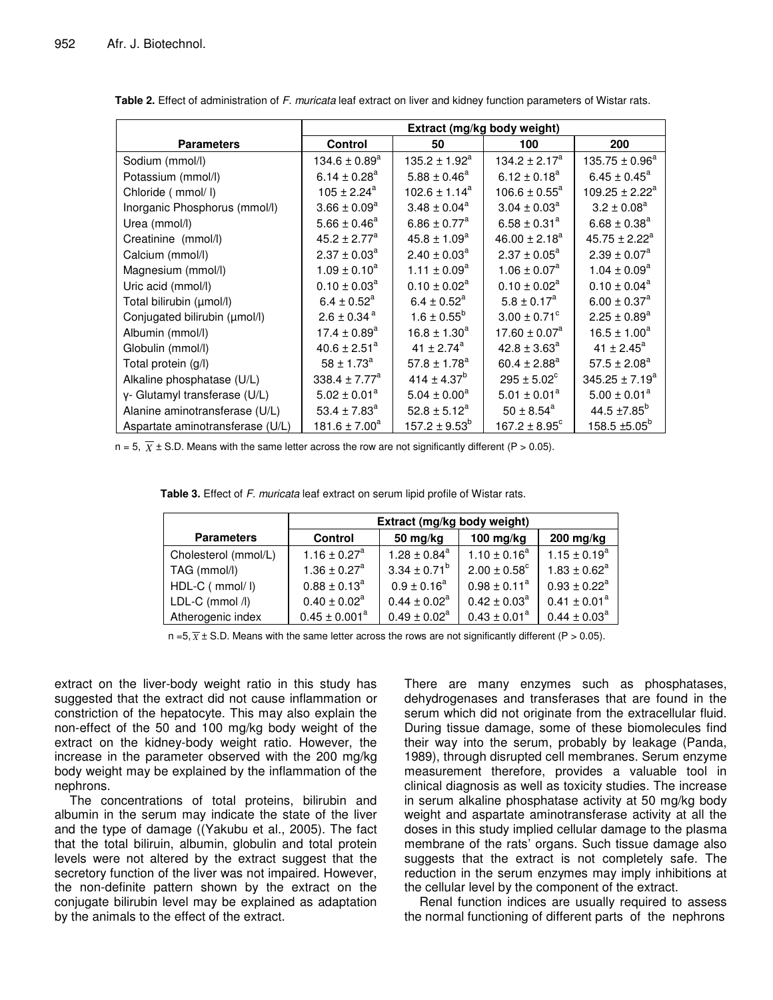|                                  | Extract (mg/kg body weight)   |                              |                               |                              |
|----------------------------------|-------------------------------|------------------------------|-------------------------------|------------------------------|
| <b>Parameters</b>                | Control                       | 50                           | 100                           | 200                          |
| Sodium (mmol/l)                  | $134.6 \pm 0.89$ <sup>a</sup> | $135.2 \pm 1.92^a$           | $134.2 \pm 2.17^a$            | $135.75 \pm 0.96^a$          |
| Potassium (mmol/l)               | $6.14 \pm 0.28$ <sup>a</sup>  | $5.88 \pm 0.46^a$            | $6.12 \pm 0.18^a$             | $6.45 \pm 0.45^a$            |
| Chloride ( mmol/ I)              | $105 \pm 2.24^a$              | $102.6 \pm 1.14^a$           | $106.6 \pm 0.55^a$            | $109.25 \pm 2.22^a$          |
| Inorganic Phosphorus (mmol/l)    | $3.66 \pm 0.09^a$             | $3.48 \pm 0.04^a$            | $3.04 \pm 0.03^a$             | $3.2 \pm 0.08^a$             |
| Urea (mmol/l)                    | $5.66 \pm 0.46^a$             | $6.86 \pm 0.77^a$            | $6.58 \pm 0.31^a$             | $6.68 \pm 0.38^a$            |
| Creatinine (mmol/l)              | $45.2 \pm 2.77^a$             | $45.8 \pm 1.09^a$            | $46.00 \pm 2.18^a$            | $45.75 \pm 2.22^a$           |
| Calcium (mmol/l)                 | $2.37 \pm 0.03^a$             | $2.40 \pm 0.03^a$            | $2.37 \pm 0.05^a$             | $2.39 \pm 0.07^a$            |
| Magnesium (mmol/l)               | $1.09 \pm 0.10^a$             | $1.11 \pm 0.09^a$            | $1.06 \pm 0.07^a$             | $1.04 \pm 0.09^a$            |
| Uric acid (mmol/l)               | $0.10 \pm 0.03^a$             | $0.10 \pm 0.02^a$            | $0.10 \pm 0.02^a$             | $0.10 \pm 0.04^a$            |
| Total bilirubin (umol/l)         | $6.4 \pm 0.52$ <sup>a</sup>   | $6.4 \pm 0.52^a$             | $5.8 \pm 0.17^a$              | $6.00 \pm 0.37$ <sup>a</sup> |
| Conjugated bilirubin (µmol/l)    | $2.6 \pm 0.34$ <sup>a</sup>   | $1.6 \pm 0.55^{\rm b}$       | $3.00 \pm 0.71$ °             | $2.25 \pm 0.89^a$            |
| Albumin (mmol/l)                 | $17.4 \pm 0.89^{\text{a}}$    | $16.8 \pm 1.30^a$            | $17.60 \pm 0.07$ <sup>a</sup> | $16.5 \pm 1.00^a$            |
| Globulin (mmol/l)                | $40.6 \pm 2.51^a$             | 41 ± 2.74 $a$                | $42.8 \pm 3.63^a$             | 41 ± 2.45 $^{a}$             |
| Total protein (g/l)              | $58 \pm 1.73^{\rm a}$         | $57.8 \pm 1.78$ <sup>a</sup> | 60.4 ± 2.88 <sup>a</sup>      | $57.5 \pm 2.08^a$            |
| Alkaline phosphatase (U/L)       | 338.4 $\pm$ 7.77 <sup>a</sup> | $414 \pm 4.37^{b}$           | $295 \pm 5.02^{\circ}$        | $345.25 \pm 7.19^a$          |
| y- Glutamyl transferase (U/L)    | $5.02 \pm 0.01^a$             | $5.04 \pm 0.00^a$            | $5.01 \pm 0.01^a$             | $5.00 \pm 0.01^a$            |
| Alanine aminotransferase (U/L)   | 53.4 $\pm$ 7.83 <sup>a</sup>  | $52.8 \pm 5.12^a$            | $50 \pm 8.54^a$               | 44.5 $\pm$ 7.85 <sup>b</sup> |
| Aspartate aminotransferase (U/L) | $181.6 \pm 7.00^a$            | $157.2 \pm 9.53^b$           | 167.2 $\pm$ 8.95 $^{\circ}$   | 158.5 ±5.05 <sup>b</sup>     |

**Table 2.** Effect of administration of *F. muricata* leaf extract on liver and kidney function parameters of Wistar rats.

 $n = 5$ ,  $\overline{X} \pm$  S.D. Means with the same letter across the row are not significantly different (P > 0.05).

| Table 3. Effect of F. muricata leaf extract on serum lipid profile of Wistar rats. |  |  |  |  |  |
|------------------------------------------------------------------------------------|--|--|--|--|--|
|------------------------------------------------------------------------------------|--|--|--|--|--|

|                      | Extract (mg/kg body weight)  |                              |                              |                   |  |
|----------------------|------------------------------|------------------------------|------------------------------|-------------------|--|
| <b>Parameters</b>    | <b>Control</b>               | 50 mg/kg                     | 100 mg/kg                    | 200 mg/kg         |  |
| Cholesterol (mmol/L) | $1.16 \pm 0.27$ <sup>a</sup> | $1.28 \pm 0.84$ <sup>a</sup> | $1.10 \pm 0.16^a$            | $1.15 \pm 0.19^a$ |  |
| TAG (mmol/l)         | $1.36 \pm 0.27^a$            | $3.34 \pm 0.71^b$            | $2.00 \pm 0.58$ <sup>c</sup> | $1.83 \pm 0.62^a$ |  |
| HDL-C ( mmol/ I)     | $0.88 \pm 0.13^a$            | $0.9 \pm 0.16^a$             | $0.98 \pm 0.11^a$            | $0.93 \pm 0.22^a$ |  |
| LDL-C (mmol /l)      | $0.40 \pm 0.02^a$            | $0.44 \pm 0.02^a$            | $0.42 \pm 0.03^a$            | $0.41 \pm 0.01^a$ |  |
| Atherogenic index    | $0.45 \pm 0.001^a$           | $0.49 \pm 0.02^a$            | $0.43 \pm 0.01^a$            | $0.44 \pm 0.03^a$ |  |

 $n = 5, \overline{X} \pm S$ . Means with the same letter across the rows are not significantly different (P > 0.05).

extract on the liver-body weight ratio in this study has suggested that the extract did not cause inflammation or constriction of the hepatocyte. This may also explain the non-effect of the 50 and 100 mg/kg body weight of the extract on the kidney-body weight ratio. However, the increase in the parameter observed with the 200 mg/kg body weight may be explained by the inflammation of the nephrons.

The concentrations of total proteins, bilirubin and albumin in the serum may indicate the state of the liver and the type of damage ((Yakubu et al., 2005). The fact that the total biliruin, albumin, globulin and total protein levels were not altered by the extract suggest that the secretory function of the liver was not impaired. However, the non-definite pattern shown by the extract on the conjugate bilirubin level may be explained as adaptation by the animals to the effect of the extract.

There are many enzymes such as phosphatases, dehydrogenases and transferases that are found in the serum which did not originate from the extracellular fluid. During tissue damage, some of these biomolecules find their way into the serum, probably by leakage (Panda, 1989), through disrupted cell membranes. Serum enzyme measurement therefore, provides a valuable tool in clinical diagnosis as well as toxicity studies. The increase in serum alkaline phosphatase activity at 50 mg/kg body weight and aspartate aminotransferase activity at all the doses in this study implied cellular damage to the plasma membrane of the rats' organs. Such tissue damage also suggests that the extract is not completely safe. The reduction in the serum enzymes may imply inhibitions at the cellular level by the component of the extract.

Renal function indices are usually required to assess the normal functioning of different parts of the nephrons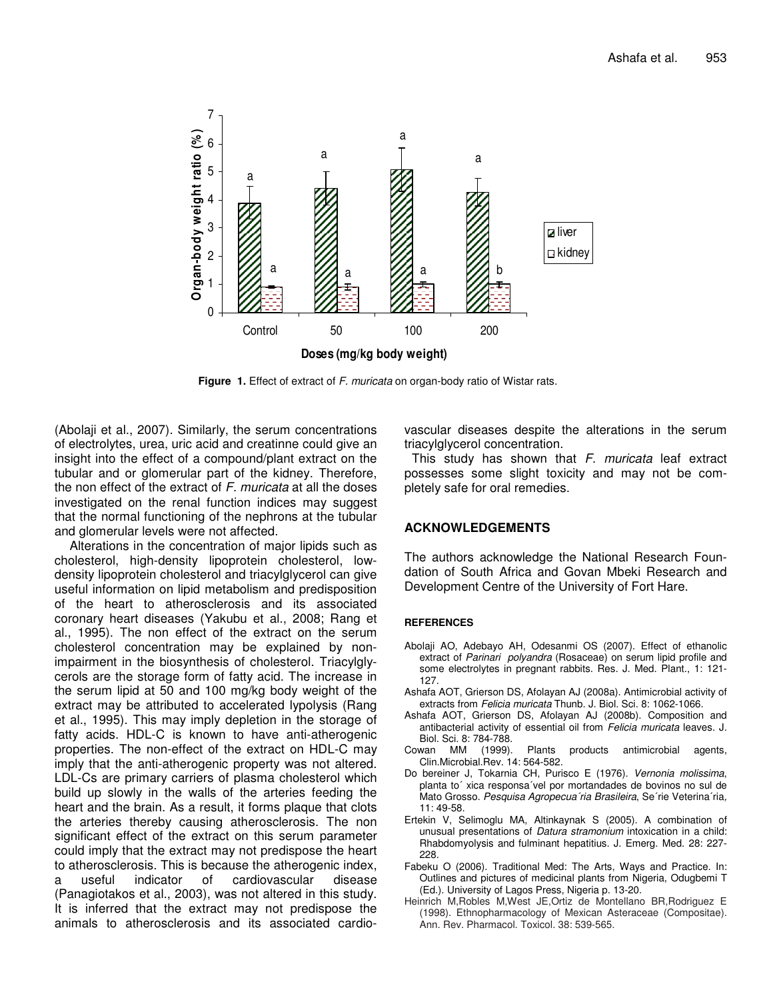

**Figure 1.** Effect of extract of *F. muricata* on organ-body ratio of Wistar rats.

(Abolaji et al., 2007). Similarly, the serum concentrations of electrolytes, urea, uric acid and creatinne could give an insight into the effect of a compound/plant extract on the tubular and or glomerular part of the kidney. Therefore, the non effect of the extract of *F. muricata* at all the doses investigated on the renal function indices may suggest that the normal functioning of the nephrons at the tubular and glomerular levels were not affected.

Alterations in the concentration of major lipids such as cholesterol, high-density lipoprotein cholesterol, lowdensity lipoprotein cholesterol and triacylglycerol can give useful information on lipid metabolism and predisposition of the heart to atherosclerosis and its associated coronary heart diseases (Yakubu et al., 2008; Rang et al., 1995). The non effect of the extract on the serum cholesterol concentration may be explained by nonimpairment in the biosynthesis of cholesterol. Triacylglycerols are the storage form of fatty acid. The increase in the serum lipid at 50 and 100 mg/kg body weight of the extract may be attributed to accelerated lypolysis (Rang et al., 1995). This may imply depletion in the storage of fatty acids. HDL-C is known to have anti-atherogenic properties. The non-effect of the extract on HDL-C may imply that the anti-atherogenic property was not altered. LDL-Cs are primary carriers of plasma cholesterol which build up slowly in the walls of the arteries feeding the heart and the brain. As a result, it forms plaque that clots the arteries thereby causing atherosclerosis. The non significant effect of the extract on this serum parameter could imply that the extract may not predispose the heart to atherosclerosis. This is because the atherogenic index, a useful indicator of cardiovascular disease (Panagiotakos et al., 2003), was not altered in this study. It is inferred that the extract may not predispose the animals to atherosclerosis and its associated cardiovascular diseases despite the alterations in the serum triacylglycerol concentration.

This study has shown that *F. muricata* leaf extract possesses some slight toxicity and may not be completely safe for oral remedies.

# **ACKNOWLEDGEMENTS**

The authors acknowledge the National Research Foundation of South Africa and Govan Mbeki Research and Development Centre of the University of Fort Hare.

#### **REFERENCES**

- Abolaji AO, Adebayo AH, Odesanmi OS (2007). Effect of ethanolic extract of *Parinari polyandra* (Rosaceae) on serum lipid profile and some electrolytes in pregnant rabbits. Res. J. Med. Plant., 1: 121- 127.
- Ashafa AOT, Grierson DS, Afolayan AJ (2008a). Antimicrobial activity of extracts from *Felicia muricata* Thunb. J. Biol. Sci. 8: 1062-1066.
- Ashafa AOT, Grierson DS, Afolayan AJ (2008b). Composition and antibacterial activity of essential oil from *Felicia muricata* leaves. J.
- Biol. Sci. 8: 784-788.<br>Cowan MM (1999). Plants products antimicrobial agents, Clin.Microbial.Rev. 14: 564-582.
- Do bereiner J, Tokarnia CH, Purisco E (1976). *Vernonia molissima*, planta to´ xica responsa´vel por mortandades de bovinos no sul de Mato Grosso. *Pesquisa Agropecua´ria Brasileira*, Se´rie Veterina´ria*,* 11: 49-58.
- Ertekin V, Selimoglu MA, Altinkaynak S (2005). A combination of unusual presentations of *Datura stramonium* intoxication in a child: Rhabdomyolysis and fulminant hepatitius. J. Emerg. Med. 28: 227- 228.
- Fabeku O (2006). Traditional Med: The Arts, Ways and Practice. In: Outlines and pictures of medicinal plants from Nigeria, Odugbemi T (Ed.). University of Lagos Press, Nigeria p. 13-20.
- Heinrich M,Robles M,West JE,Ortiz de Montellano BR,Rodriguez E (1998). Ethnopharmacology of Mexican Asteraceae (Compositae). Ann. Rev. Pharmacol. Toxicol. 38: 539-565.